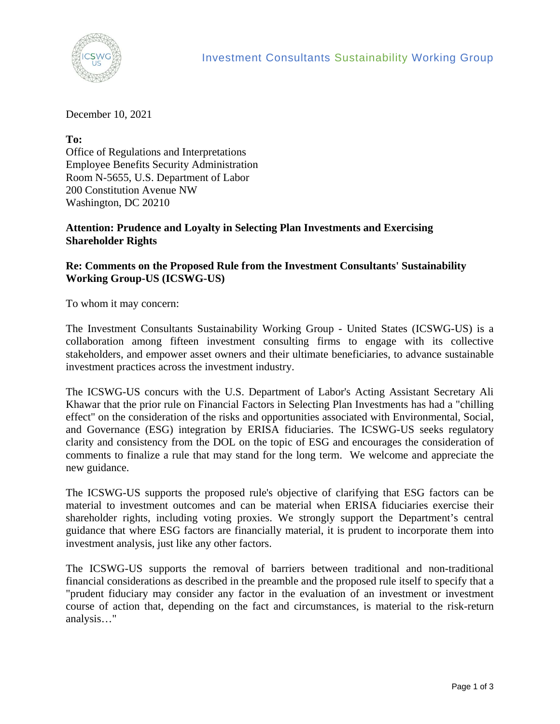

December 10, 2021

**To:**  Office of Regulations and Interpretations Employee Benefits Security Administration Room N-5655, U.S. Department of Labor 200 Constitution Avenue NW Washington, DC 20210

## **Attention: Prudence and Loyalty in Selecting Plan Investments and Exercising Shareholder Rights**

## **Re: Comments on the Proposed Rule from the Investment Consultants' Sustainability Working Group-US (ICSWG-US)**

To whom it may concern:

The Investment Consultants Sustainability Working Group - United States (ICSWG-US) is a collaboration among fifteen investment consulting firms to engage with its collective stakeholders, and empower asset owners and their ultimate beneficiaries, to advance sustainable investment practices across the investment industry.

The ICSWG-US concurs with the U.S. Department of Labor's Acting Assistant Secretary Ali Khawar that the prior rule on Financial Factors in Selecting Plan Investments has had a "chilling effect" on the consideration of the risks and opportunities associated with Environmental, Social, and Governance (ESG) integration by ERISA fiduciaries. The ICSWG-US seeks regulatory clarity and consistency from the DOL on the topic of ESG and encourages the consideration of comments to finalize a rule that may stand for the long term. We welcome and appreciate the new guidance.

The ICSWG-US supports the proposed rule's objective of clarifying that ESG factors can be material to investment outcomes and can be material when ERISA fiduciaries exercise their shareholder rights, including voting proxies. We strongly support the Department's central guidance that where ESG factors are financially material, it is prudent to incorporate them into investment analysis, just like any other factors.

The ICSWG-US supports the removal of barriers between traditional and non-traditional financial considerations as described in the preamble and the proposed rule itself to specify that a "prudent fiduciary may consider any factor in the evaluation of an investment or investment course of action that, depending on the fact and circumstances, is material to the risk-return analysis…"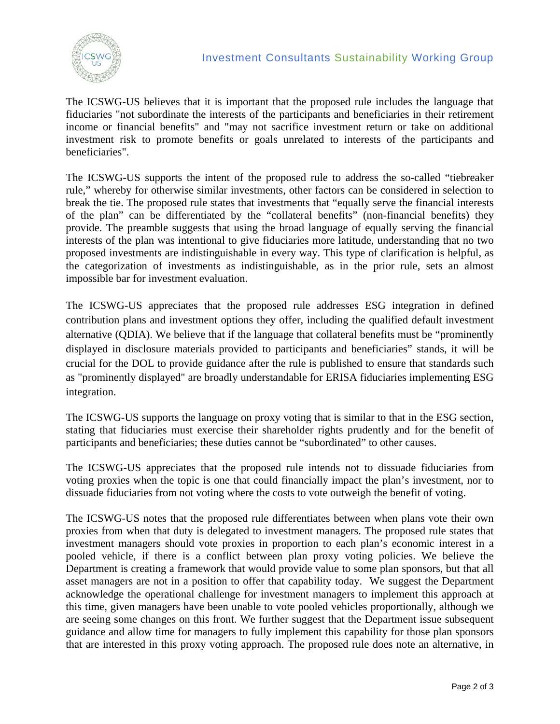

The ICSWG-US believes that it is important that the proposed rule includes the language that fiduciaries "not subordinate the interests of the participants and beneficiaries in their retirement income or financial benefits" and "may not sacrifice investment return or take on additional investment risk to promote benefits or goals unrelated to interests of the participants and beneficiaries".

The ICSWG-US supports the intent of the proposed rule to address the so-called "tiebreaker rule," whereby for otherwise similar investments, other factors can be considered in selection to break the tie. The proposed rule states that investments that "equally serve the financial interests of the plan" can be differentiated by the "collateral benefits" (non-financial benefits) they provide. The preamble suggests that using the broad language of equally serving the financial interests of the plan was intentional to give fiduciaries more latitude, understanding that no two proposed investments are indistinguishable in every way. This type of clarification is helpful, as the categorization of investments as indistinguishable, as in the prior rule, sets an almost impossible bar for investment evaluation.

The ICSWG-US appreciates that the proposed rule addresses ESG integration in defined contribution plans and investment options they offer, including the qualified default investment alternative (QDIA). We believe that if the language that collateral benefits must be "prominently displayed in disclosure materials provided to participants and beneficiaries" stands, it will be crucial for the DOL to provide guidance after the rule is published to ensure that standards such as "prominently displayed" are broadly understandable for ERISA fiduciaries implementing ESG integration.

The ICSWG-US supports the language on proxy voting that is similar to that in the ESG section, stating that fiduciaries must exercise their shareholder rights prudently and for the benefit of participants and beneficiaries; these duties cannot be "subordinated" to other causes.

The ICSWG-US appreciates that the proposed rule intends not to dissuade fiduciaries from voting proxies when the topic is one that could financially impact the plan's investment, nor to dissuade fiduciaries from not voting where the costs to vote outweigh the benefit of voting.

The ICSWG-US notes that the proposed rule differentiates between when plans vote their own proxies from when that duty is delegated to investment managers. The proposed rule states that investment managers should vote proxies in proportion to each plan's economic interest in a pooled vehicle, if there is a conflict between plan proxy voting policies. We believe the Department is creating a framework that would provide value to some plan sponsors, but that all asset managers are not in a position to offer that capability today. We suggest the Department acknowledge the operational challenge for investment managers to implement this approach at this time, given managers have been unable to vote pooled vehicles proportionally, although we are seeing some changes on this front. We further suggest that the Department issue subsequent guidance and allow time for managers to fully implement this capability for those plan sponsors that are interested in this proxy voting approach. The proposed rule does note an alternative, in